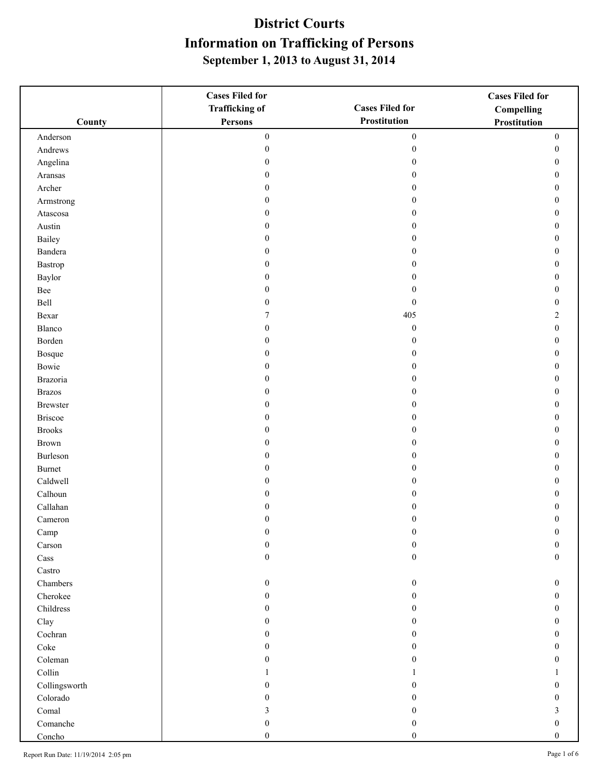|                         | <b>Cases Filed for</b> |                        | <b>Cases Filed for</b> |
|-------------------------|------------------------|------------------------|------------------------|
|                         | <b>Trafficking of</b>  | <b>Cases Filed for</b> | Compelling             |
| County                  | Persons                | Prostitution           | Prostitution           |
| Anderson                | $\boldsymbol{0}$       | $\boldsymbol{0}$       | $\boldsymbol{0}$       |
| Andrews                 | $\boldsymbol{0}$       | $\boldsymbol{0}$       | $\boldsymbol{0}$       |
| Angelina                | $\overline{0}$         | $\mathbf{0}$           | $\boldsymbol{0}$       |
| Aransas                 | $\overline{0}$         | $\theta$               | $\boldsymbol{0}$       |
| Archer                  | $\boldsymbol{0}$       | $\theta$               | $\boldsymbol{0}$       |
| Armstrong               | $\boldsymbol{0}$       | $\theta$               | $\boldsymbol{0}$       |
| Atascosa                | 0                      | $\theta$               | $\boldsymbol{0}$       |
| Austin                  | $\boldsymbol{0}$       | $\theta$               | $\boldsymbol{0}$       |
| Bailey                  | $\mathbf{0}$           | $\Omega$               | $\mathbf{0}$           |
| Bandera                 | $\overline{0}$         | $\Omega$               | $\boldsymbol{0}$       |
| Bastrop                 | $\overline{0}$         | $\theta$               | $\boldsymbol{0}$       |
| Baylor                  | $\boldsymbol{0}$       | $\theta$               | $\boldsymbol{0}$       |
| Bee                     | 0                      | $\mathbf{0}$           | $\boldsymbol{0}$       |
| Bell                    | 0                      | $\boldsymbol{0}$       | $\boldsymbol{0}$       |
| Bexar                   | 7                      | 405                    | $\overline{c}$         |
| Blanco                  | $\overline{0}$         | $\boldsymbol{0}$       | $\boldsymbol{0}$       |
| Borden                  | $\mathbf{0}$           | $\mathbf{0}$           | $\boldsymbol{0}$       |
| Bosque                  | $\boldsymbol{0}$       | $\boldsymbol{0}$       | $\boldsymbol{0}$       |
| Bowie                   | $\boldsymbol{0}$       | $\theta$               | $\boldsymbol{0}$       |
| Brazoria                | $\mathbf{0}$           | $\mathbf{0}$           | $\mathbf{0}$           |
| <b>Brazos</b>           | $\overline{0}$         | $\Omega$               | $\boldsymbol{0}$       |
| <b>Brewster</b>         | $\overline{0}$         | $\theta$               | $\boldsymbol{0}$       |
| <b>Briscoe</b>          | $\boldsymbol{0}$       | $\theta$               | $\boldsymbol{0}$       |
| <b>Brooks</b>           | 0                      | $\theta$               | $\boldsymbol{0}$       |
| Brown                   | 0                      | $\mathbf{0}$           | $\boldsymbol{0}$       |
| Burleson                | $\mathbf{0}$           | $\Omega$               | $\boldsymbol{0}$       |
| Burnet                  | $\overline{0}$         | $\Omega$               | $\boldsymbol{0}$       |
| Caldwell                | $\overline{0}$         | $\Omega$               | $\boldsymbol{0}$       |
| Calhoun                 | $\overline{0}$         | $\mathbf{0}$           | $\boldsymbol{0}$       |
| Callahan                | $\overline{0}$         | 0                      | $\boldsymbol{0}$       |
| Cameron                 | $\theta$               | $\Omega$               | $\theta$               |
| Camp                    | $\boldsymbol{0}$       | $\boldsymbol{0}$       | $\mathbf{0}$           |
| Carson                  | $\boldsymbol{0}$       | $\mathbf{0}$           | $\mathbf{0}$           |
| Cass                    | $\boldsymbol{0}$       | $\boldsymbol{0}$       | $\boldsymbol{0}$       |
| $\operatorname{Castro}$ |                        |                        |                        |
| Chambers                | $\boldsymbol{0}$       | $\mathbf{0}$           | $\mathbf{0}$           |
| Cherokee                | 0                      | $\Omega$               | $\mathbf{0}$           |
| Childress               | 0                      | $\Omega$               | $\theta$               |
| Clay                    | $\overline{0}$         | $\Omega$               | $\mathbf{0}$           |
| Cochran                 | $\boldsymbol{0}$       | $\Omega$               | $\mathbf{0}$           |
| Coke                    | 0                      | $\mathbf{0}$           | $\boldsymbol{0}$       |
| Coleman                 | 0                      | $\theta$               | $\theta$               |
| Collin                  |                        |                        |                        |
| Collingsworth           | 0                      | $\Omega$               | $\mathbf{0}$           |
| Colorado                | 0                      | $\Omega$               | $\mathbf{0}$           |
| $\operatorname{Comal}$  | 3                      | $\mathbf{0}$           | $\mathfrak{Z}$         |
| Comanche                | $\boldsymbol{0}$       | $\boldsymbol{0}$       | $\boldsymbol{0}$       |
| Concho                  | $\boldsymbol{0}$       | $\boldsymbol{0}$       | $\mathbf{0}$           |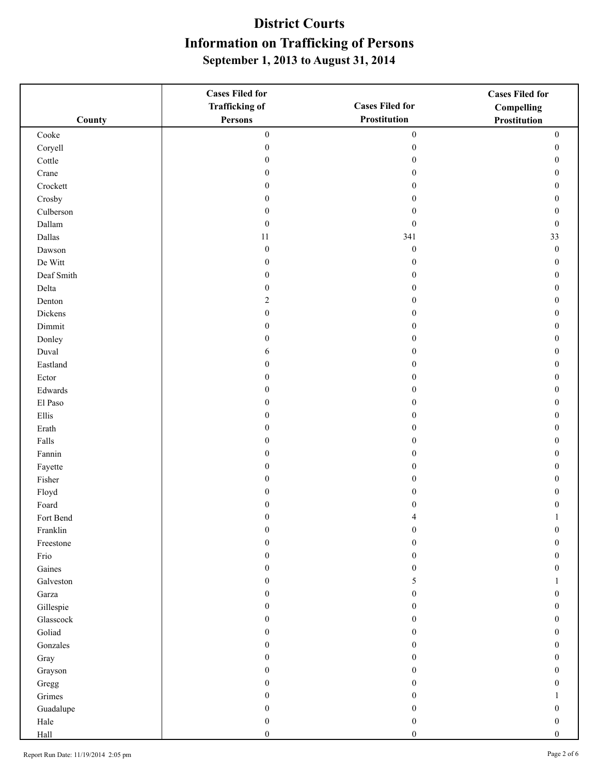|                                | <b>Cases Filed for</b> |                        | <b>Cases Filed for</b> |
|--------------------------------|------------------------|------------------------|------------------------|
|                                | <b>Trafficking of</b>  | <b>Cases Filed for</b> | <b>Compelling</b>      |
| County                         | Persons                | Prostitution           | Prostitution           |
| Cooke                          | $\boldsymbol{0}$       | $\boldsymbol{0}$       | $\boldsymbol{0}$       |
| Coryell                        | $\boldsymbol{0}$       | $\boldsymbol{0}$       | $\boldsymbol{0}$       |
| Cottle                         | $\boldsymbol{0}$       | $\boldsymbol{0}$       | $\boldsymbol{0}$       |
| Crane                          | $\overline{0}$         | $\theta$               | $\boldsymbol{0}$       |
| Crockett                       | $\boldsymbol{0}$       | $\mathbf{0}$           | $\boldsymbol{0}$       |
| Crosby                         | $\boldsymbol{0}$       | $\mathbf{0}$           | $\boldsymbol{0}$       |
| Culberson                      | $\boldsymbol{0}$       | $\mathbf{0}$           | $\boldsymbol{0}$       |
| Dallam                         | $\boldsymbol{0}$       | $\boldsymbol{0}$       | $\boldsymbol{0}$       |
| Dallas                         | $11\,$                 | 341                    | 33                     |
| Dawson                         | $\boldsymbol{0}$       | $\boldsymbol{0}$       | $\boldsymbol{0}$       |
| De Witt                        | $\boldsymbol{0}$       | $\boldsymbol{0}$       | $\boldsymbol{0}$       |
| Deaf Smith                     | $\boldsymbol{0}$       | $\boldsymbol{0}$       | $\boldsymbol{0}$       |
| Delta                          | $\boldsymbol{0}$       | $\boldsymbol{0}$       | $\boldsymbol{0}$       |
| Denton                         | 2                      | $\mathbf{0}$           | $\boldsymbol{0}$       |
| Dickens                        | $\boldsymbol{0}$       | $\theta$               | $\boldsymbol{0}$       |
| Dimmit                         | $\boldsymbol{0}$       | $\theta$               | $\boldsymbol{0}$       |
| Donley                         | $\boldsymbol{0}$       | $\mathbf{0}$           | $\boldsymbol{0}$       |
| Duval                          | 6                      | $\boldsymbol{0}$       | $\boldsymbol{0}$       |
| Eastland                       | $\boldsymbol{0}$       | $\mathbf{0}$           | $\boldsymbol{0}$       |
| Ector                          | $\boldsymbol{0}$       | $\boldsymbol{0}$       | $\boldsymbol{0}$       |
| Edwards                        | $\bf{0}$               | $\theta$               | $\boldsymbol{0}$       |
| El Paso                        | $\boldsymbol{0}$       | $\theta$               | $\boldsymbol{0}$       |
| Ellis                          | $\boldsymbol{0}$       | $\theta$               | $\boldsymbol{0}$       |
| Erath                          | $\boldsymbol{0}$       | $\theta$               | $\boldsymbol{0}$       |
| Falls                          | $\boldsymbol{0}$       | $\boldsymbol{0}$       | $\boldsymbol{0}$       |
| $\ensuremath{\textsc{Fannin}}$ | $\boldsymbol{0}$       | $\theta$               | $\boldsymbol{0}$       |
| Fayette                        | $\overline{0}$         | $\theta$               | $\mathbf{0}$           |
| Fisher                         | 0                      | $\theta$               | $\boldsymbol{0}$       |
| Floyd                          | $\boldsymbol{0}$       | $\theta$               | $\boldsymbol{0}$       |
| Foard                          | $\overline{0}$         | $\theta$               | $\boldsymbol{0}$       |
| Fort Bend                      | 0                      |                        | 1                      |
| Franklin                       | $\boldsymbol{0}$       | $\boldsymbol{0}$       | $\boldsymbol{0}$       |
| Freestone                      | $\boldsymbol{0}$       | $\Omega$               | $\mathbf{0}$           |
| Frio                           | $\boldsymbol{0}$       | $\theta$               | $\boldsymbol{0}$       |
| Gaines                         | $\boldsymbol{0}$       | $\theta$               | $\bf{0}$               |
| Galveston                      | $\boldsymbol{0}$       | 5                      | 1                      |
| Garza                          | $\boldsymbol{0}$       | $\boldsymbol{0}$       | $\boldsymbol{0}$       |
| Gillespie                      | $\bf{0}$               | $\mathbf{0}$           | $\mathbf{0}$           |
| $\operatorname{Glasscock}$     | $\bf{0}$               | $\theta$               | $\boldsymbol{0}$       |
| Goliad                         | $\boldsymbol{0}$       | $\theta$               | $\bf{0}$               |
| Gonzales                       | $\boldsymbol{0}$       | $\boldsymbol{0}$       | $\bf{0}$               |
| Gray                           | $\boldsymbol{0}$       | $\boldsymbol{0}$       | $\boldsymbol{0}$       |
| Grayson                        | 0                      | 0                      | $\mathbf{0}$           |
| Gregg                          | 0                      | $\theta$               | $\theta$               |
| Grimes                         | $\boldsymbol{0}$       | $\theta$               |                        |
| Guadalupe                      | $\boldsymbol{0}$       | $\theta$               | $\boldsymbol{0}$       |
| Hale                           | $\boldsymbol{0}$       | $\boldsymbol{0}$       | $\boldsymbol{0}$       |
| Hall                           | $\boldsymbol{0}$       | $\boldsymbol{0}$       | $\boldsymbol{0}$       |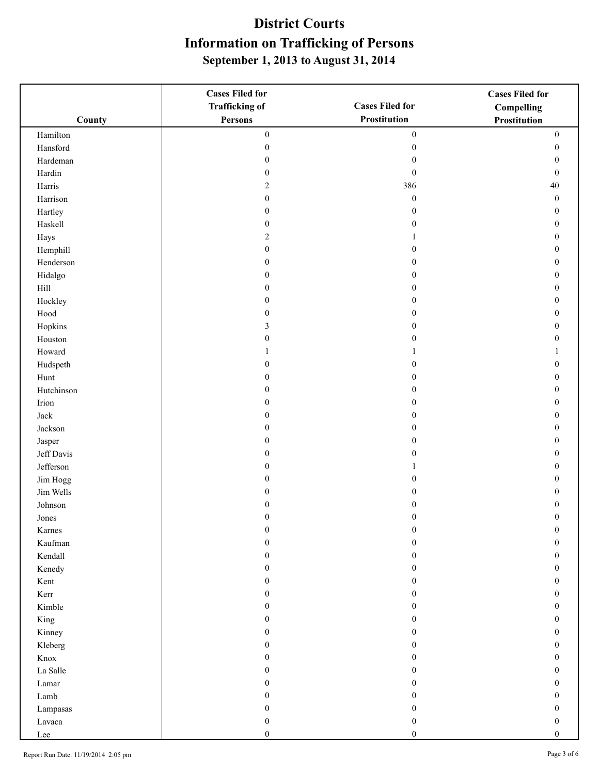|            | <b>Cases Filed for</b>               |                                      | <b>Cases Filed for</b>               |
|------------|--------------------------------------|--------------------------------------|--------------------------------------|
|            | <b>Trafficking of</b>                | <b>Cases Filed for</b>               | Compelling                           |
| County     | Persons                              | Prostitution                         | Prostitution                         |
| Hamilton   | $\boldsymbol{0}$                     | $\boldsymbol{0}$                     | $\boldsymbol{0}$                     |
| Hansford   | $\boldsymbol{0}$                     | $\boldsymbol{0}$                     | $\boldsymbol{0}$                     |
| Hardeman   | 0                                    | $\mathbf{0}$                         | $\bf{0}$                             |
| Hardin     | $\boldsymbol{0}$                     | $\mathbf{0}$                         | $\mathbf{0}$                         |
| Harris     | $\overline{c}$                       | 386                                  | $40\,$                               |
| Harrison   | $\boldsymbol{0}$                     | $\boldsymbol{0}$                     | $\boldsymbol{0}$                     |
| Hartley    | $\boldsymbol{0}$                     | $\boldsymbol{0}$                     | $\boldsymbol{0}$                     |
| Haskell    | $\boldsymbol{0}$                     | $\boldsymbol{0}$                     | $\boldsymbol{0}$                     |
| Hays       | 2                                    |                                      | $\boldsymbol{0}$                     |
| Hemphill   | $\boldsymbol{0}$                     | $\Omega$                             | $\mathbf{0}$                         |
| Henderson  | $\boldsymbol{0}$                     | $\Omega$                             | $\boldsymbol{0}$                     |
| Hidalgo    | $\boldsymbol{0}$                     | $\theta$                             | $\boldsymbol{0}$                     |
| $\rm Hill$ | $\boldsymbol{0}$                     | $\theta$                             | $\boldsymbol{0}$                     |
| Hockley    | 0                                    | $\mathbf{0}$                         | $\boldsymbol{0}$                     |
| Hood       | 0                                    | $\mathbf{0}$                         | $\bf{0}$                             |
| Hopkins    | 3                                    | $\Omega$                             | $\mathbf{0}$                         |
| Houston    | $\overline{0}$                       | $\theta$                             | $\boldsymbol{0}$                     |
| Howard     |                                      |                                      | 1                                    |
| Hudspeth   | $\boldsymbol{0}$                     | $\boldsymbol{0}$                     | $\boldsymbol{0}$                     |
| Hunt       | 0                                    | $\theta$                             | $\boldsymbol{0}$                     |
| Hutchinson | $\boldsymbol{0}$                     | $\mathbf{0}$                         | $\mathbf{0}$                         |
| Irion      | $\overline{0}$                       | $\theta$                             | $\boldsymbol{0}$                     |
| Jack       | $\boldsymbol{0}$                     | $\theta$                             | $\boldsymbol{0}$                     |
| Jackson    | $\boldsymbol{0}$                     | $\theta$                             | $\boldsymbol{0}$                     |
| Jasper     | 0                                    | $\theta$                             | $\boldsymbol{0}$                     |
| Jeff Davis | 0                                    | $\theta$                             | $\boldsymbol{0}$                     |
| Jefferson  | $\boldsymbol{0}$                     |                                      | $\mathbf{0}$                         |
| Jim Hogg   | 0                                    | $\Omega$                             | $\mathbf{0}$                         |
| Jim Wells  | $\mathbf{0}$                         | $\theta$                             | $\boldsymbol{0}$                     |
| Johnson    | $\mathbf{0}$                         | $\theta$                             | $\boldsymbol{0}$                     |
| Jones      | 0                                    | $\Omega$                             | $\mathbf{0}$                         |
| Karnes     | $\boldsymbol{0}$                     | $\boldsymbol{0}$                     | $\boldsymbol{0}$                     |
| Kaufman    | 0                                    | $\Omega$                             | $\mathbf{0}$                         |
| Kendall    | 0                                    | $\Omega$                             | $\boldsymbol{0}$                     |
| Kenedy     | $\boldsymbol{0}$                     | $\theta$                             | $\boldsymbol{0}$                     |
| Kent       | $\boldsymbol{0}$                     | $\boldsymbol{0}$                     | $\boldsymbol{0}$                     |
| Kerr       | $\boldsymbol{0}$                     | $\mathbf{0}$                         | $\mathbf{0}$                         |
| Kimble     | 0                                    | $\Omega$                             | $\mathbf{0}$                         |
| King       | 0                                    | $\Omega$                             | $\mathbf{0}$                         |
| Kinney     | $\overline{0}$                       | $\Omega$                             | $\mathbf{0}$                         |
| Kleberg    | $\boldsymbol{0}$                     | $\Omega$                             | $\boldsymbol{0}$                     |
| Knox       | 0                                    | $\theta$                             | $\boldsymbol{0}$                     |
| La Salle   | 0                                    | $\mathbf{0}$                         | $\boldsymbol{0}$                     |
| Lamar      | $\mathbf{0}$                         | $\theta$                             | $\mathbf{0}$                         |
| Lamb       | 0                                    | $\Omega$                             | $\mathbf{0}$                         |
| Lampasas   | $\boldsymbol{0}$                     | $\theta$                             | $\boldsymbol{0}$                     |
| Lavaca     | $\boldsymbol{0}$<br>$\boldsymbol{0}$ | $\boldsymbol{0}$<br>$\boldsymbol{0}$ | $\boldsymbol{0}$<br>$\boldsymbol{0}$ |
| Lee        |                                      |                                      |                                      |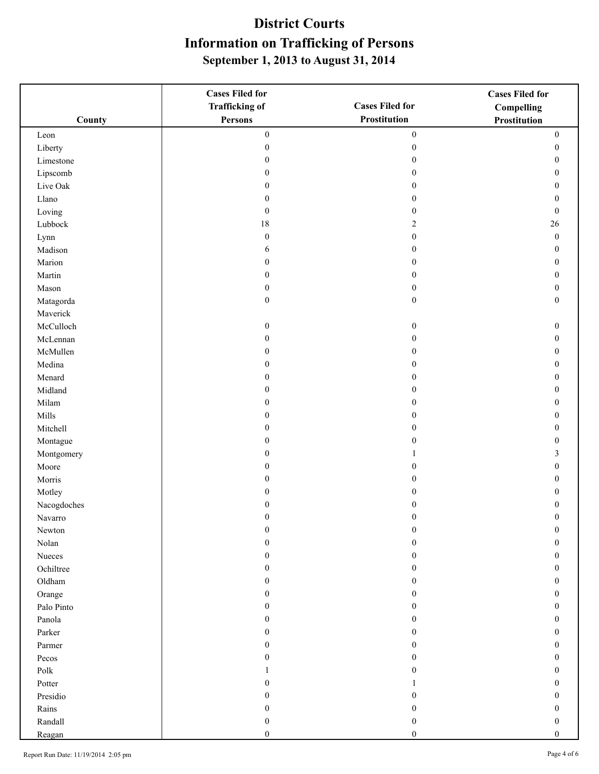|                       | <b>Cases Filed for</b> |                        | <b>Cases Filed for</b> |
|-----------------------|------------------------|------------------------|------------------------|
|                       | <b>Trafficking of</b>  | <b>Cases Filed for</b> | Compelling             |
| County                | <b>Persons</b>         | Prostitution           | <b>Prostitution</b>    |
| Leon                  | $\boldsymbol{0}$       | $\boldsymbol{0}$       | $\boldsymbol{0}$       |
| Liberty               | $\boldsymbol{0}$       | $\boldsymbol{0}$       | $\boldsymbol{0}$       |
| Limestone             | $\boldsymbol{0}$       | $\boldsymbol{0}$       | $\boldsymbol{0}$       |
| Lipscomb              | $\boldsymbol{0}$       | $\mathbf{0}$           | 0                      |
| Live Oak              | $\mathbf{0}$           | $\theta$               | 0                      |
| Llano                 | $\boldsymbol{0}$       | $\boldsymbol{0}$       | $\theta$               |
| Loving                | $\boldsymbol{0}$       | $\mathbf{0}$           | $\boldsymbol{0}$       |
| Lubbock               | $18\,$                 | $\overline{2}$         | 26                     |
| Lynn                  | $\boldsymbol{0}$       | $\boldsymbol{0}$       | $\boldsymbol{0}$       |
| Madison               | 6                      | $\Omega$               | $\mathbf{0}$           |
| Marion                | $\boldsymbol{0}$       | $\theta$               | $\theta$               |
| Martin                | $\boldsymbol{0}$       | $\mathbf{0}$           | $\theta$               |
| Mason                 | $\boldsymbol{0}$       | $\boldsymbol{0}$       | $\boldsymbol{0}$       |
| Matagorda             | $\boldsymbol{0}$       | $\boldsymbol{0}$       | $\mathbf{0}$           |
| Maverick              |                        |                        |                        |
| McCulloch             | $\boldsymbol{0}$       | $\boldsymbol{0}$       | $\boldsymbol{0}$       |
| McLennan              | $\boldsymbol{0}$       | $\mathbf{0}$           | $\boldsymbol{0}$       |
| McMullen              | $\boldsymbol{0}$       | $\boldsymbol{0}$       | $\boldsymbol{0}$       |
| Medina                | $\boldsymbol{0}$       | $\mathbf{0}$           | $\boldsymbol{0}$       |
| Menard                | $\boldsymbol{0}$       | $\theta$               | $\mathbf{0}$           |
| Midland               | $\boldsymbol{0}$       | $\mathbf{0}$           | 0                      |
| Milam                 | $\boldsymbol{0}$       | $\theta$               | 0                      |
| Mills                 | $\boldsymbol{0}$       | $\theta$               | 0                      |
| Mitchell              | $\boldsymbol{0}$       | $\theta$               | 0                      |
| Montague              | $\boldsymbol{0}$       | $\theta$               | 0                      |
| Montgomery            | $\boldsymbol{0}$       |                        | 3                      |
| Moore                 | $\boldsymbol{0}$       | $\theta$               | $\theta$               |
| Morris                | 0                      | $\theta$               | 0                      |
| Motley                | $\mathbf{0}$           | $\theta$               | 0                      |
| Nacogdoches           | $\mathbf{0}$           | $\theta$               | 0                      |
| Navarro               | 0                      | $\theta$               | $\mathbf{0}$           |
| Newton                | $\boldsymbol{0}$       | $\boldsymbol{0}$       | $\boldsymbol{0}$       |
| Nolan                 | $\boldsymbol{0}$       | $\theta$               | 0                      |
| Nueces                | 0                      | $\theta$               | 0                      |
| Ochiltree             | $\boldsymbol{0}$       | $\mathbf{0}$           | 0                      |
| Oldham                | $\boldsymbol{0}$       | $\boldsymbol{0}$       | $\boldsymbol{0}$       |
| Orange                | 0                      | $\mathbf{0}$           | $\mathbf{0}$           |
| Palo Pinto            | 0                      | $\mathbf{0}$           | 0                      |
| Panola                | 0                      | $\theta$               | 0                      |
| Parker                | $\overline{0}$         | $\theta$               | 0                      |
| Parmer                | $\boldsymbol{0}$       | $\mathbf{0}$           | 0                      |
| Pecos                 | 0                      | $\theta$               | 0                      |
| $\operatorname{Polk}$ |                        | $\Omega$               | 0                      |
| Potter                | 0                      |                        | 0                      |
| Presidio              | 0                      | 0                      | 0                      |
| Rains                 | 0                      | $\theta$               | 0                      |
| Randall               | $\boldsymbol{0}$       | $\theta$               | $\boldsymbol{0}$       |
| Reagan                | $\boldsymbol{0}$       | $\boldsymbol{0}$       | $\boldsymbol{0}$       |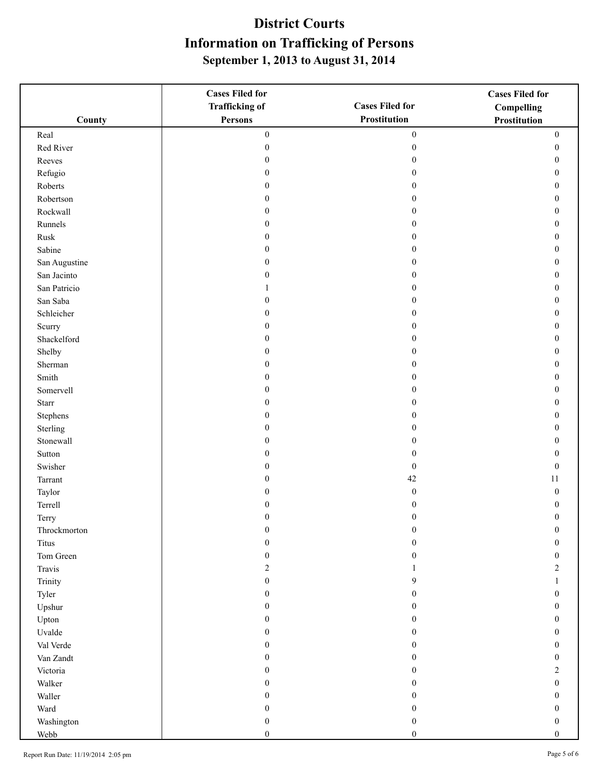|               | <b>Cases Filed for</b> |                        | <b>Cases Filed for</b> |
|---------------|------------------------|------------------------|------------------------|
|               | <b>Trafficking of</b>  | <b>Cases Filed for</b> | Compelling             |
| County        | Persons                | Prostitution           | Prostitution           |
| Real          | $\boldsymbol{0}$       | $\boldsymbol{0}$       | $\boldsymbol{0}$       |
| Red River     | $\boldsymbol{0}$       | $\boldsymbol{0}$       | $\boldsymbol{0}$       |
| Reeves        | 0                      | $\boldsymbol{0}$       | $\boldsymbol{0}$       |
| Refugio       | 0                      | $\mathbf{0}$           | $\mathbf{0}$           |
| Roberts       | $\overline{0}$         | $\mathbf{0}$           | $\boldsymbol{0}$       |
| Robertson     | $\boldsymbol{0}$       | $\theta$               | $\boldsymbol{0}$       |
| Rockwall      | $\boldsymbol{0}$       | $\theta$               | $\boldsymbol{0}$       |
| Runnels       | 0                      | $\boldsymbol{0}$       | $\boldsymbol{0}$       |
| Rusk          | 0                      | $\mathbf{0}$           | $\boldsymbol{0}$       |
| Sabine        | $\boldsymbol{0}$       | $\Omega$               | $\mathbf{0}$           |
| San Augustine | $\overline{0}$         | $\mathbf{0}$           | $\mathbf{0}$           |
| San Jacinto   | $\overline{0}$         | $\theta$               | $\mathbf{0}$           |
| San Patricio  |                        | $\theta$               | $\boldsymbol{0}$       |
| San Saba      | 0                      | $\mathbf{0}$           | $\boldsymbol{0}$       |
| Schleicher    | 0                      | $\mathbf{0}$           | $\boldsymbol{0}$       |
| Scurry        | 0                      | $\mathbf{0}$           | $\mathbf{0}$           |
| Shackelford   | 0                      | $\theta$               | $\boldsymbol{0}$       |
| Shelby        | $\boldsymbol{0}$       | $\theta$               | $\boldsymbol{0}$       |
| Sherman       | $\boldsymbol{0}$       | $\boldsymbol{0}$       | $\boldsymbol{0}$       |
| Smith         | $\boldsymbol{0}$       | $\theta$               | $\boldsymbol{0}$       |
| Somervell     | $\boldsymbol{0}$       | $\mathbf{0}$           | $\mathbf{0}$           |
| <b>Starr</b>  | $\overline{0}$         | $\Omega$               | $\mathbf{0}$           |
| Stephens      | $\boldsymbol{0}$       | $\theta$               | $\boldsymbol{0}$       |
| Sterling      | $\boldsymbol{0}$       | $\theta$               | $\boldsymbol{0}$       |
| Stonewall     | $\boldsymbol{0}$       | $\theta$               | $\boldsymbol{0}$       |
| Sutton        | 0                      | $\mathbf{0}$           | $\boldsymbol{0}$       |
| Swisher       | 0                      | $\boldsymbol{0}$       | $\mathbf{0}$           |
| Tarrant       | 0                      | $42\,$                 | 11                     |
| Taylor        | 0                      | $\boldsymbol{0}$       | $\boldsymbol{0}$       |
| Terrell       | $\mathbf{0}$           | $\mathbf{0}$           | $\boldsymbol{0}$       |
| Terry         | 0                      | $\Omega$               | $\mathbf{0}$           |
| Throckmorton  | $\boldsymbol{0}$       | $\boldsymbol{0}$       | $\boldsymbol{0}$       |
| Titus         | 0                      | $\Omega$               | $\boldsymbol{0}$       |
| Tom Green     | 0                      | 0                      | $\boldsymbol{0}$       |
| Travis        | $\overline{c}$         |                        | $\overline{c}$         |
| Trinity       | $\boldsymbol{0}$       | 9                      | 1                      |
| Tyler         | 0                      | $\mathbf{0}$           | $\boldsymbol{0}$       |
| Upshur        | 0                      | $\Omega$               | $\mathbf{0}$           |
| Upton         | 0                      | $_{0}$                 | $\overline{0}$         |
| Uvalde        | 0                      | 0                      | $\boldsymbol{0}$       |
| Val Verde     | 0                      | $\Omega$               | $\boldsymbol{0}$       |
| Van Zandt     | 0                      | 0                      | $\boldsymbol{0}$       |
| Victoria      | 0                      | 0                      | $\overline{c}$         |
| Walker        | 0                      | $_{0}$                 | $\mathbf{0}$           |
| Waller        | 0                      | $_{0}$                 | $\overline{0}$         |
| Ward          | 0                      | 0                      | $\boldsymbol{0}$       |
| Washington    | $\boldsymbol{0}$       | $\boldsymbol{0}$       | $\boldsymbol{0}$       |
| Webb          | $\boldsymbol{0}$       | $\boldsymbol{0}$       | $\boldsymbol{0}$       |